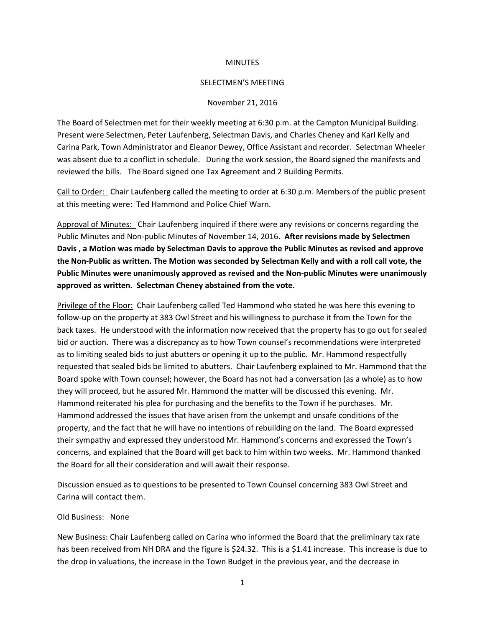### **MINUTES**

#### SELECTMEN'S MEETING

### November 21, 2016

The Board of Selectmen met for their weekly meeting at 6:30 p.m. at the Campton Municipal Building. Present were Selectmen, Peter Laufenberg, Selectman Davis, and Charles Cheney and Karl Kelly and Carina Park, Town Administrator and Eleanor Dewey, Office Assistant and recorder. Selectman Wheeler was absent due to a conflict in schedule. During the work session, the Board signed the manifests and reviewed the bills. The Board signed one Tax Agreement and 2 Building Permits.

Call to Order: Chair Laufenberg called the meeting to order at 6:30 p.m. Members of the public present at this meeting were: Ted Hammond and Police Chief Warn.

Approval of Minutes: Chair Laufenberg inquired if there were any revisions or concerns regarding the Public Minutes and Non-public Minutes of November 14, 2016. **After revisions made by Selectmen Davis , a Motion was made by Selectman Davis to approve the Public Minutes as revised and approve the Non-Public as written. The Motion was seconded by Selectman Kelly and with a roll call vote, the Public Minutes were unanimously approved as revised and the Non-public Minutes were unanimously approved as written. Selectman Cheney abstained from the vote.**

Privilege of the Floor: Chair Laufenberg called Ted Hammond who stated he was here this evening to follow-up on the property at 383 Owl Street and his willingness to purchase it from the Town for the back taxes. He understood with the information now received that the property has to go out for sealed bid or auction. There was a discrepancy as to how Town counsel's recommendations were interpreted as to limiting sealed bids to just abutters or opening it up to the public. Mr. Hammond respectfully requested that sealed bids be limited to abutters. Chair Laufenberg explained to Mr. Hammond that the Board spoke with Town counsel; however, the Board has not had a conversation (as a whole) as to how they will proceed, but he assured Mr. Hammond the matter will be discussed this evening. Mr. Hammond reiterated his plea for purchasing and the benefits to the Town if he purchases. Mr. Hammond addressed the issues that have arisen from the unkempt and unsafe conditions of the property, and the fact that he will have no intentions of rebuilding on the land. The Board expressed their sympathy and expressed they understood Mr. Hammond's concerns and expressed the Town's concerns, and explained that the Board will get back to him within two weeks. Mr. Hammond thanked the Board for all their consideration and will await their response.

Discussion ensued as to questions to be presented to Town Counsel concerning 383 Owl Street and Carina will contact them.

## Old Business: None

New Business: Chair Laufenberg called on Carina who informed the Board that the preliminary tax rate has been received from NH DRA and the figure is \$24.32. This is a \$1.41 increase. This increase is due to the drop in valuations, the increase in the Town Budget in the previous year, and the decrease in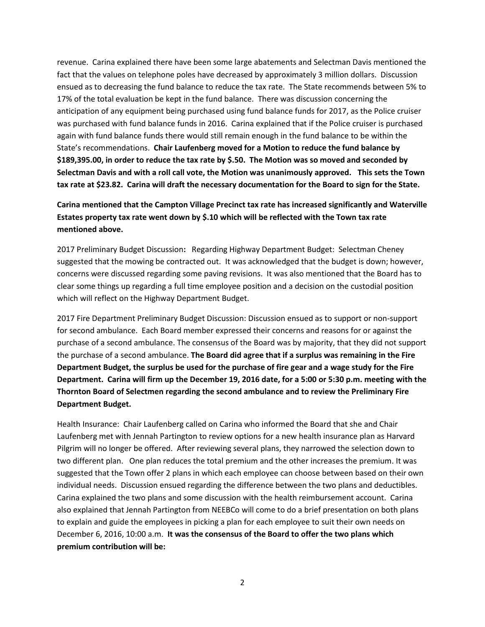revenue. Carina explained there have been some large abatements and Selectman Davis mentioned the fact that the values on telephone poles have decreased by approximately 3 million dollars. Discussion ensued as to decreasing the fund balance to reduce the tax rate. The State recommends between 5% to 17% of the total evaluation be kept in the fund balance. There was discussion concerning the anticipation of any equipment being purchased using fund balance funds for 2017, as the Police cruiser was purchased with fund balance funds in 2016. Carina explained that if the Police cruiser is purchased again with fund balance funds there would still remain enough in the fund balance to be within the State's recommendations. **Chair Laufenberg moved for a Motion to reduce the fund balance by \$189,395.00, in order to reduce the tax rate by \$.50. The Motion was so moved and seconded by Selectman Davis and with a roll call vote, the Motion was unanimously approved. This sets the Town tax rate at \$23.82. Carina will draft the necessary documentation for the Board to sign for the State.**

# **Carina mentioned that the Campton Village Precinct tax rate has increased significantly and Waterville Estates property tax rate went down by \$.10 which will be reflected with the Town tax rate mentioned above.**

2017 Preliminary Budget Discussion**:** Regarding Highway Department Budget:Selectman Cheney suggested that the mowing be contracted out. It was acknowledged that the budget is down; however, concerns were discussed regarding some paving revisions. It was also mentioned that the Board has to clear some things up regarding a full time employee position and a decision on the custodial position which will reflect on the Highway Department Budget.

2017 Fire Department Preliminary Budget Discussion: Discussion ensued as to support or non-support for second ambulance. Each Board member expressed their concerns and reasons for or against the purchase of a second ambulance. The consensus of the Board was by majority, that they did not support the purchase of a second ambulance. **The Board did agree that if a surplus was remaining in the Fire Department Budget, the surplus be used for the purchase of fire gear and a wage study for the Fire Department. Carina will firm up the December 19, 2016 date, for a 5:00 or 5:30 p.m. meeting with the Thornton Board of Selectmen regarding the second ambulance and to review the Preliminary Fire Department Budget.** 

Health Insurance: Chair Laufenberg called on Carina who informed the Board that she and Chair Laufenberg met with Jennah Partington to review options for a new health insurance plan as Harvard Pilgrim will no longer be offered. After reviewing several plans, they narrowed the selection down to two different plan. One plan reduces the total premium and the other increases the premium. It was suggested that the Town offer 2 plans in which each employee can choose between based on their own individual needs. Discussion ensued regarding the difference between the two plans and deductibles. Carina explained the two plans and some discussion with the health reimbursement account. Carina also explained that Jennah Partington from NEEBCo will come to do a brief presentation on both plans to explain and guide the employees in picking a plan for each employee to suit their own needs on December 6, 2016, 10:00 a.m. **It was the consensus of the Board to offer the two plans which premium contribution will be:**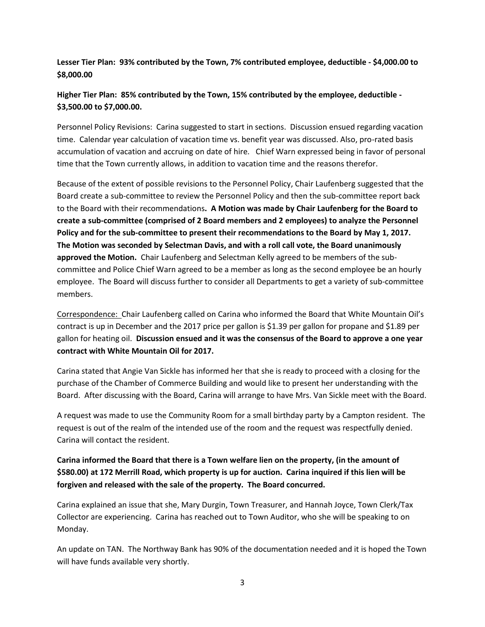**Lesser Tier Plan: 93% contributed by the Town, 7% contributed employee, deductible - \$4,000.00 to \$8,000.00**

**Higher Tier Plan: 85% contributed by the Town, 15% contributed by the employee, deductible - \$3,500.00 to \$7,000.00.**

Personnel Policy Revisions: Carina suggested to start in sections. Discussion ensued regarding vacation time. Calendar year calculation of vacation time vs. benefit year was discussed. Also, pro-rated basis accumulation of vacation and accruing on date of hire. Chief Warn expressed being in favor of personal time that the Town currently allows, in addition to vacation time and the reasons therefor.

Because of the extent of possible revisions to the Personnel Policy, Chair Laufenberg suggested that the Board create a sub-committee to review the Personnel Policy and then the sub-committee report back to the Board with their recommendations**. A Motion was made by Chair Laufenberg for the Board to create a sub-committee (comprised of 2 Board members and 2 employees) to analyze the Personnel Policy and for the sub-committee to present their recommendations to the Board by May 1, 2017. The Motion was seconded by Selectman Davis, and with a roll call vote, the Board unanimously approved the Motion.** Chair Laufenberg and Selectman Kelly agreed to be members of the subcommittee and Police Chief Warn agreed to be a member as long as the second employee be an hourly employee. The Board will discuss further to consider all Departments to get a variety of sub-committee members.

Correspondence: Chair Laufenberg called on Carina who informed the Board that White Mountain Oil's contract is up in December and the 2017 price per gallon is \$1.39 per gallon for propane and \$1.89 per gallon for heating oil. **Discussion ensued and it was the consensus of the Board to approve a one year contract with White Mountain Oil for 2017.**

Carina stated that Angie Van Sickle has informed her that she is ready to proceed with a closing for the purchase of the Chamber of Commerce Building and would like to present her understanding with the Board. After discussing with the Board, Carina will arrange to have Mrs. Van Sickle meet with the Board.

A request was made to use the Community Room for a small birthday party by a Campton resident. The request is out of the realm of the intended use of the room and the request was respectfully denied. Carina will contact the resident.

**Carina informed the Board that there is a Town welfare lien on the property, (in the amount of \$580.00) at 172 Merrill Road, which property is up for auction. Carina inquired if this lien will be forgiven and released with the sale of the property. The Board concurred.** 

Carina explained an issue that she, Mary Durgin, Town Treasurer, and Hannah Joyce, Town Clerk/Tax Collector are experiencing. Carina has reached out to Town Auditor, who she will be speaking to on Monday.

An update on TAN. The Northway Bank has 90% of the documentation needed and it is hoped the Town will have funds available very shortly.